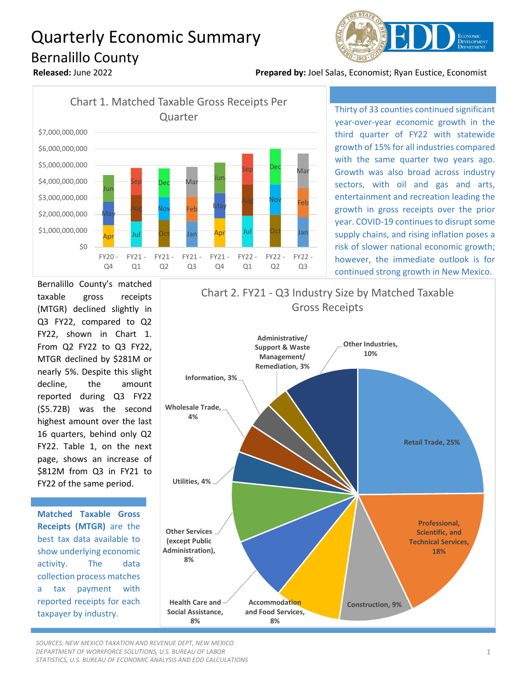# Quarterly Economic Summary Bernalillo County



**Released:** June 2022 **Prepared by:** Joel Salas, Economist; Ryan Eustice, Economist



Thirty of 33 counties continued significant year-over-year economic growth in the third quarter of FY22 with statewide growth of 15% for all industries compared with the same quarter two years ago. Growth was also broad across industry sectors, with oil and gas and arts, entertainment and recreation leading the growth in gross receipts over the prior year. COVID-19 continues to disrupt some supply chains, and rising inflation poses a risk of slower national economic growth; however, the immediate outlook is for continued strong growth in New Mexico.

Bernalillo County's matched taxable gross receipts (MTGR) declined slightly in Q3 FY22, compared to Q2 FY22, shown in Chart 1. From Q2 FY22 to Q3 FY22, MTGR declined by \$281M or nearly 5%. Despite this slight decline, the amount reported during Q3 FY22 (\$5.72B) was the second highest amount over the last 16 quarters, behind only Q2 FY22. Table 1, on the next page, shows an increase of \$812M from Q3 in FY21 to FY22 of the same period.

**Matched Taxable Gross Receipts (MTGR)** are the best tax data available to show underlying economic activity. The data collection process matches a tax payment with reported receipts for each taxpayer by industry.



*SOURCES: NEW MEXICO TAXATION AND REVENUE DEPT, NEW MEXICO DEPARTMENT OF WORKFORCE SOLUTIONS, U.S. BUREAU OF LABOR STATISTICS, U.S. BUREAU OF ECONOMIC ANALYSIS AND EDD CALCULATIONS*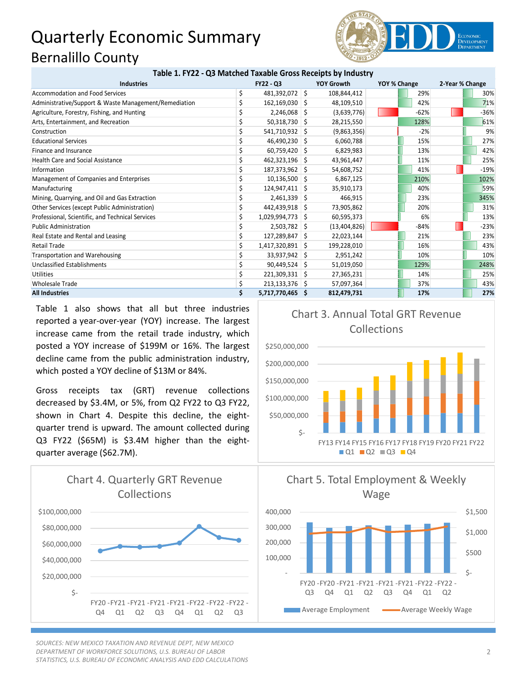## Quarterly Economic Summary Bernalillo County



#### **Table 1. FY22 - Q3 Matched Taxable Gross Receipts by Industry**

| <b>Industries</b>                                     | <b>FY22 - Q3</b> |                    | <b>YOY Growth</b> | YOY % Change |  | 2-Year % Change |  |        |
|-------------------------------------------------------|------------------|--------------------|-------------------|--------------|--|-----------------|--|--------|
| Accommodation and Food Services                       | \$               | 481,392,072 \$     |                   | 108,844,412  |  | 29%             |  | 30%    |
| Administrative/Support & Waste Management/Remediation |                  | $162, 169, 030$ \$ |                   | 48,109,510   |  | 42%             |  | 71%    |
| Agriculture, Forestry, Fishing, and Hunting           |                  | $2,246,068$ \$     |                   | (3,639,776)  |  | $-62%$          |  | $-36%$ |
| Arts, Entertainment, and Recreation                   |                  | $50,318,730$ \$    |                   | 28,215,550   |  | 128%            |  | 61%    |
| Construction                                          |                  | 541,710,932 \$     |                   | (9,863,356)  |  | $-2%$           |  | 9%     |
| <b>Educational Services</b>                           |                  | 46,490,230 \$      |                   | 6,060,788    |  | 15%             |  | 27%    |
| Finance and Insurance                                 |                  | $60,759,420$ \$    |                   | 6,829,983    |  | 13%             |  | 42%    |
| <b>Health Care and Social Assistance</b>              |                  | 462,323,196 \$     |                   | 43,961,447   |  | 11%             |  | 25%    |
| Information                                           |                  | 187,373,962 \$     |                   | 54,608,752   |  | 41%             |  | $-19%$ |
| Management of Companies and Enterprises               |                  | $10,136,500$ \$    |                   | 6,867,125    |  | 210%            |  | 102%   |
| Manufacturing                                         |                  | 124,947,411 \$     |                   | 35,910,173   |  | 40%             |  | 59%    |
| Mining, Quarrying, and Oil and Gas Extraction         |                  | $2,461,339$ \$     |                   | 466,915      |  | 23%             |  | 345%   |
| Other Services (except Public Administration)         |                  | 442,439,918 \$     |                   | 73,905,862   |  | 20%             |  | 31%    |
| Professional, Scientific, and Technical Services      |                  | 1,029,994,773 \$   |                   | 60,595,373   |  | 6%              |  | 13%    |
| <b>Public Administration</b>                          |                  | $2,503,782$ \$     |                   | (13,404,826) |  | $-84%$          |  | $-23%$ |
| Real Estate and Rental and Leasing                    |                  | 127,289,847 \$     |                   | 22,023,144   |  | 21%             |  | 23%    |
| Retail Trade                                          |                  | 1,417,320,891 \$   |                   | 199,228,010  |  | 16%             |  | 43%    |
| Transportation and Warehousing                        |                  | 33,937,942 \$      |                   | 2,951,242    |  | 10%             |  | 10%    |
| Unclassified Establishments                           |                  | $90,449,524$ \$    |                   | 51,019,050   |  | 129%            |  | 248%   |
| <b>Utilities</b>                                      |                  | 221,309,331 \$     |                   | 27,365,231   |  | 14%             |  | 25%    |
| <b>Wholesale Trade</b>                                |                  | $213,133,376$ \$   |                   | 57,097,364   |  | 37%             |  | 43%    |
| <b>All Industries</b>                                 |                  | 5,717,770,465 \$   |                   | 812,479,731  |  | 17%             |  | 27%    |

Table 1 also shows that all but three industries reported a year-over-year (YOY) increase. The largest increase came from the retail trade industry, which posted a YOY increase of \$199M or 16%. The largest decline came from the public administration industry, which posted a YOY decline of \$13M or 84%.

Gross receipts tax (GRT) revenue collections decreased by \$3.4M, or 5%, from Q2 FY22 to Q3 FY22, shown in Chart 4. Despite this decline, the eightquarter trend is upward. The amount collected during Q3 FY22 (\$65M) is \$3.4M higher than the eightquarter average (\$62.7M).



*SOURCES: NEW MEXICO TAXATION AND REVENUE DEPT, NEW MEXICO DEPARTMENT OF WORKFORCE SOLUTIONS, U.S. BUREAU OF LABOR STATISTICS, U.S. BUREAU OF ECONOMIC ANALYSIS AND EDD CALCULATIONS*







### 2